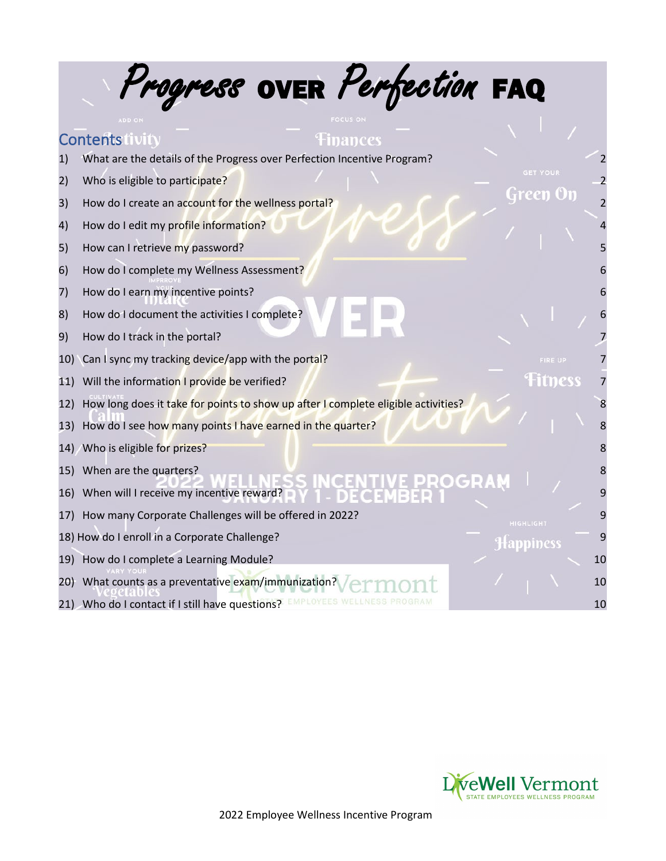|     | Progress OVER Perfection FAQ                                                      |    |
|-----|-----------------------------------------------------------------------------------|----|
|     |                                                                                   |    |
|     | <b>Contents livity</b><br>mances                                                  |    |
| 1)  | What are the details of the Progress over Perfection Incentive Program?           |    |
| 2)  | <b>GET YOUR</b><br>Who is eligible to participate?                                |    |
| 3)  | rreen<br>How do I create an account for the wellness portal?                      |    |
| 4)  | How do I edit my profile information?                                             |    |
| 5)  | How can I retrieve my password?                                                   |    |
| 6)  | How do I complete my Wellness Assessment?                                         |    |
| 7)  | How do I earn my incentive points?                                                |    |
| 8)  | How do I document the activities I complete?                                      |    |
| 9)  | How do I track in the portal?                                                     |    |
| 10) | Can I sync my tracking device/app with the portal?<br>FIRE UP                     |    |
| 11) | <b>Hitness</b><br>Will the information I provide be verified?                     |    |
| 12) | How long does it take for points to show up after I complete eligible activities? |    |
| 13) | How do I see how many points I have earned in the quarter?                        |    |
|     | 14) Who is eligible for prizes?                                                   | 8  |
| 15) | When are the quarters?                                                            |    |
| 16) | When will I receive my incentive reward?                                          | 9  |
| 17) | How many Corporate Challenges will be offered in 2022?<br><b>HIGHLIGHT</b>        | 9  |
|     | 18) How do I enroll in a Corporate Challenge?<br>appiness                         | 9  |
| 19) | How do I complete a Learning Module?                                              | 10 |
| 20) | What counts as a preventative exam/immunization?                                  | 10 |
|     | 21) Who do I contact if I still have questions?                                   | 10 |
|     |                                                                                   |    |

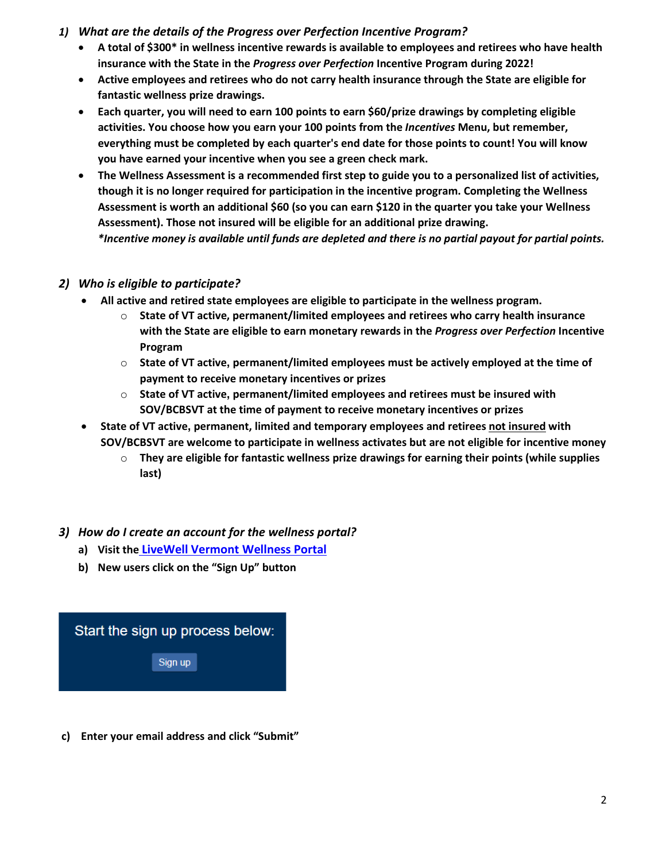- <span id="page-1-0"></span>*1) What are the details of the Progress over Perfection Incentive Program?*
	- **A total of \$300\* in wellness incentive rewards is available to employees and retirees who have health insurance with the State in the** *Progress over Perfection* **Incentive Program during 2022!**
	- **Active employees and retirees who do not carry health insurance through the State are eligible for fantastic wellness prize drawings.**
	- **Each quarter, you will need to earn 100 points to earn \$60/prize drawings by completing eligible activities. You choose how you earn your 100 points from the** *Incentives* **Menu, but remember, everything must be completed by each quarter's end date for those points to count! You will know you have earned your incentive when you see a green check mark.**
	- **The Wellness Assessment is a recommended first step to guide you to a personalized list of activities, though it is no longer required for participation in the incentive program. Completing the Wellness Assessment is worth an additional \$60 (so you can earn \$120 in the quarter you take your Wellness Assessment). Those not insured will be eligible for an additional prize drawing.**  *\*Incentive money is available until funds are depleted and there is no partial payout for partial points.*

### <span id="page-1-1"></span>*2) Who is eligible to participate?*

- **All active and retired state employees are eligible to participate in the wellness program.** 
	- o **State of VT active, permanent/limited employees and retirees who carry health insurance with the State are eligible to earn monetary rewards in the** *Progress over Perfection* **Incentive Program**
	- o **State of VT active, permanent/limited employees must be actively employed at the time of payment to receive monetary incentives or prizes**
	- o **State of VT active, permanent/limited employees and retirees must be insured with SOV/BCBSVT at the time of payment to receive monetary incentives or prizes**
- **State of VT active, permanent, limited and temporary employees and retirees not insured with SOV/BCBSVT are welcome to participate in wellness activates but are not eligible for incentive money**
	- o **They are eligible for fantastic wellness prize drawings for earning their points (while supplies last)**

## *3) How do I create an account for the wellness portal?*

- **a) Visit the [LiveWell Vermont Wellness Portal](http://www.bewellvermont.org/)**
- **b) New users click on the "Sign Up" button**



**c) Enter your email address and click "Submit"**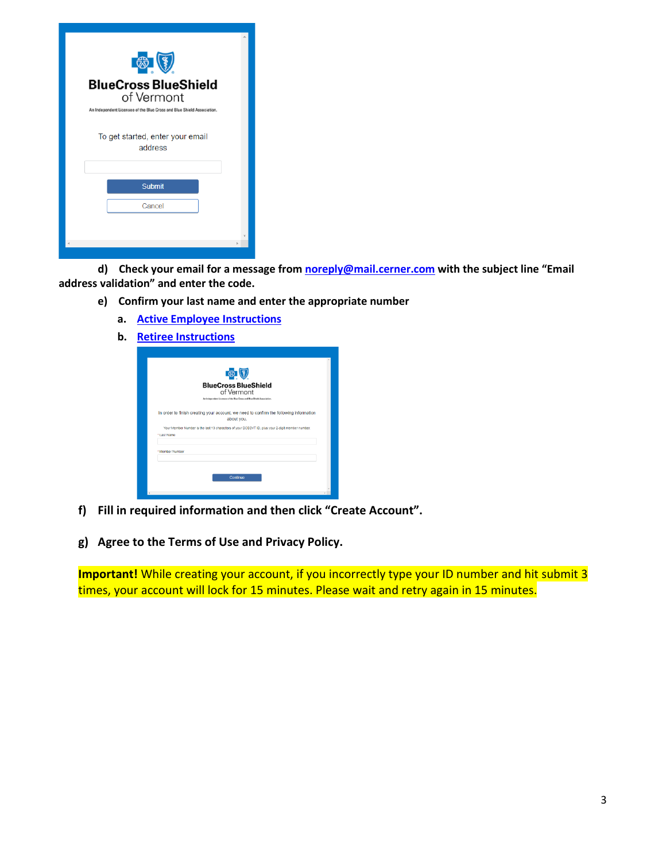| <b>BlueCross BlueShield</b><br>of Vermont<br>An Independent Licensee of the Blue Cross and Blue Shield Association.<br>To get started, enter your email<br>address<br><b>Submit</b><br>Cancel |  |
|-----------------------------------------------------------------------------------------------------------------------------------------------------------------------------------------------|--|
|                                                                                                                                                                                               |  |

**d) Check your email for a message fro[m noreply@mail.cerner.com](mailto:noreply@mail.cerner.com) with the subject line "Email address validation" and enter the code.**

- **e) Confirm your last name and enter the appropriate number** 
	- **a. [Active Employee Instructions](https://humanresources.vermont.gov/sites/humanresources/files/documents/Portal%20Registration%20Instructions_Active%20Employees.pdf)**
	- **b. [Retiree Instructions](https://humanresources.vermont.gov/sites/humanresources/files/documents/Portal%20Registration%20Instructions_Retired%20Employees.pdf)**

|                 | <b>BlueCross BlueShield</b>                                                                          |
|-----------------|------------------------------------------------------------------------------------------------------|
|                 | of Vermont<br>An Independent Licensee of the Blue Cross and Blue Shield Association.                 |
|                 | In order to finish creating your account, we need to confirm the following information<br>about you. |
|                 | Your Member Number is the last 13 characters of your BCBSVT ID, plus your 2-digit member number.     |
| * Last Name     |                                                                                                      |
| * Member Number |                                                                                                      |
|                 |                                                                                                      |
|                 |                                                                                                      |

- **f) Fill in required information and then click "Create Account".**
- **g) Agree to the Terms of Use and Privacy Policy.**

**Important!** While creating your account, if you incorrectly type your ID number and hit submit 3 times, your account will lock for 15 minutes. Please wait and retry again in 15 minutes.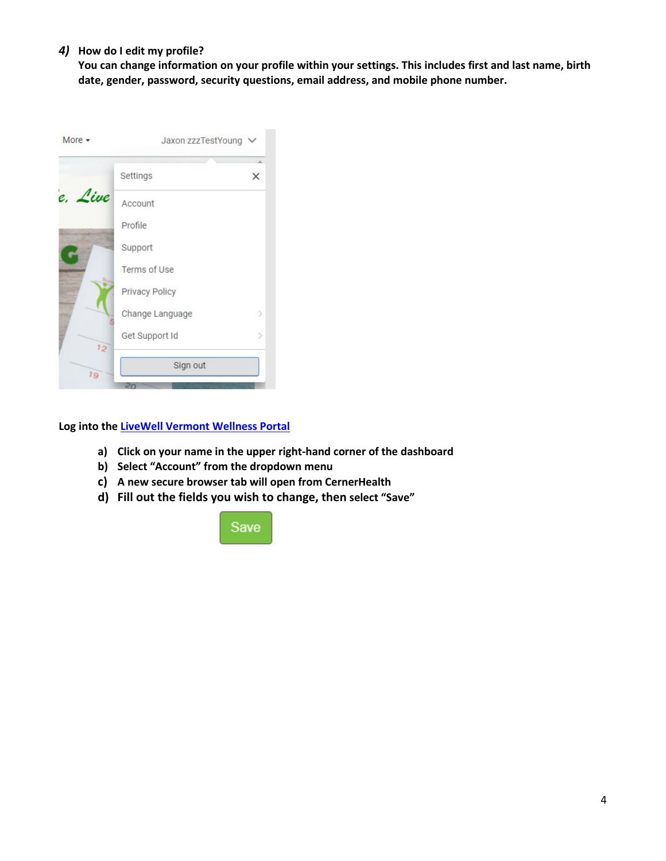#### *4)* **How do I edit my profile?**

**You can change information on your profile within your settings. This includes first and last name, birth date, gender, password, security questions, email address, and mobile phone number.**



**Log into the [LiveWell Vermont Wellness Portal](http://www.bewellvermont.org/)**

- **a) Click on your name in the upper right-hand corner of the dashboard**
- **b) Select "Account" from the dropdown menu**
- **c) A new secure browser tab will open from CernerHealth**
- **d) Fill out the fields you wish to change, then select "Save"**

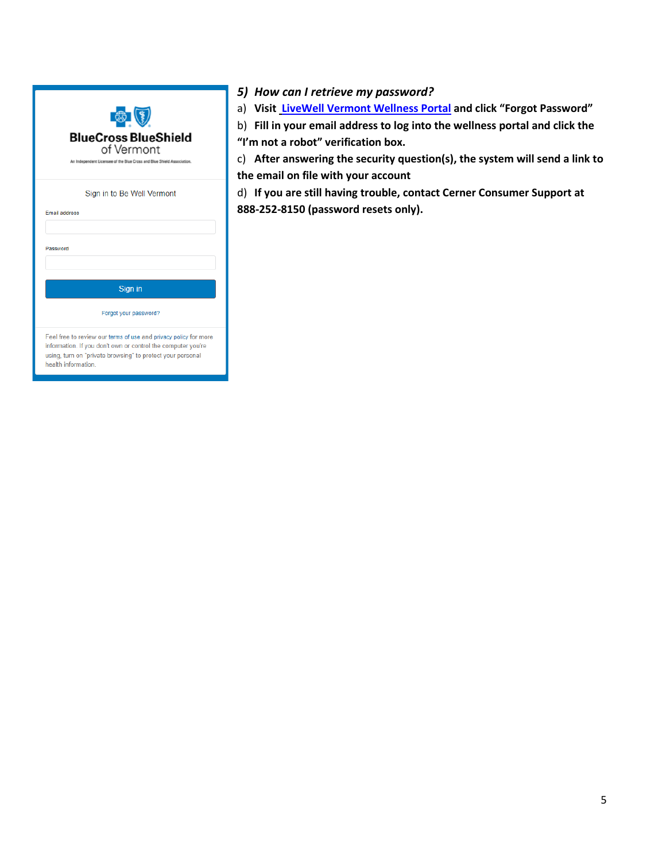| <b>BlueCross BlueShield</b><br>of Vermont<br>An Independent Licensee of the Blue Cross and Blue Shield Association.                                                                                                                           |
|-----------------------------------------------------------------------------------------------------------------------------------------------------------------------------------------------------------------------------------------------|
| Sign in to Be Well Vermont<br><b>Email address</b><br>Password                                                                                                                                                                                |
| Sign in                                                                                                                                                                                                                                       |
| Forgot your password?<br>Feel free to review our terms of use and privacy policy for more<br>information. If you don't own or control the computer you're<br>using, turn on "private browsing" to protect your personal<br>health information |

- <span id="page-4-0"></span>*5) How can I retrieve my password?*
- a) **Visi[t LiveWell Vermont Wellness Portal](https://www.bewellvermont.org/onboarding?to=https%3A%2F%2Fwww.bewellvermont.org%2F) and click "Forgot Password"**
- b) **Fill in your email address to log into the wellness portal and click the "I'm not a robot" verification box.**

c) **After answering the security question(s), the system will send a link to the email on file with your account**

d) **If you are still having trouble, contact Cerner Consumer Support at 888-252-8150 (password resets only).**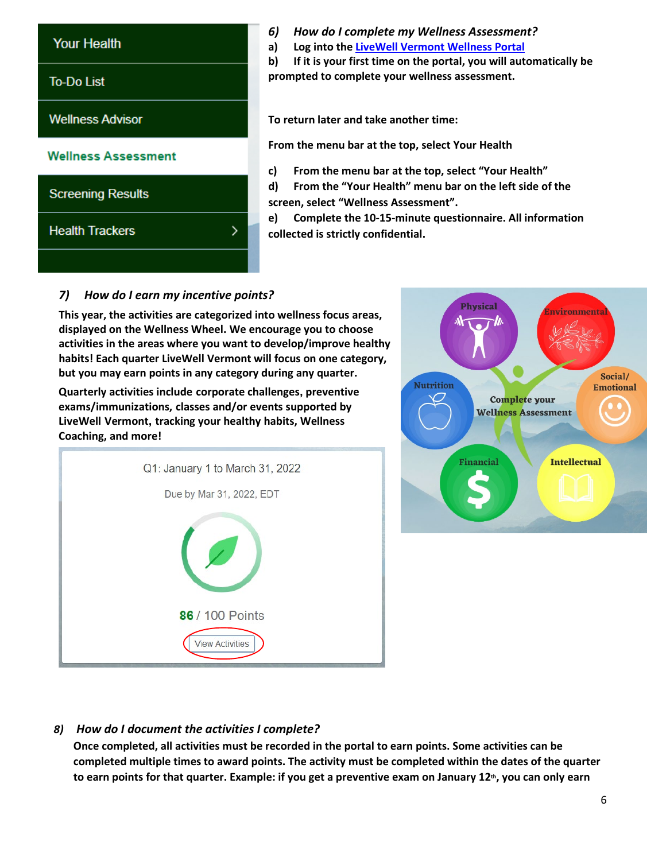

- <span id="page-5-0"></span>*6) How do I complete my Wellness Assessment?*
- **a) Log into the [LiveWell Vermont Wellness Portal](http://www.bewellvermont.org/)**

**b) If it is your first time on the portal, you will automatically be prompted to complete your wellness assessment.**

**To return later and take another time:** 

**From the menu bar at the top, select Your Health**

- **c) From the menu bar at the top, select "Your Health"**
- **d) From the "Your Health" menu bar on the left side of the screen, select "Wellness Assessment".**

**e) Complete the 10-15-minute questionnaire. All information collected is strictly confidential.**

# <span id="page-5-1"></span>*7) How do I earn my incentive points?*

**This year, the activities are categorized into wellness focus areas, displayed on the Wellness Wheel. We encourage you to choose activities in the areas where you want to develop/improve healthy habits! Each quarter LiveWell Vermont will focus on one category, but you may earn points in any category during any quarter.** 

**Quarterly activities include corporate challenges, preventive exams/immunizations, classes and/or events supported by LiveWell Vermont, tracking your healthy habits, Wellness Coaching, and more!**

| Q1: January 1 to March 31, 2022           |
|-------------------------------------------|
| Due by Mar 31, 2022, EDT                  |
| 86 / 100 Points<br><b>View Activities</b> |



## *8) How do I document the activities I complete?*

<span id="page-5-2"></span>**Once completed, all activities must be recorded in the portal to earn points. Some activities can be completed multiple times to award points. The activity must be completed within the dates of the quarter**  to earn points for that quarter. Example: if you get a preventive exam on January 12<sup>th</sup>, you can only earn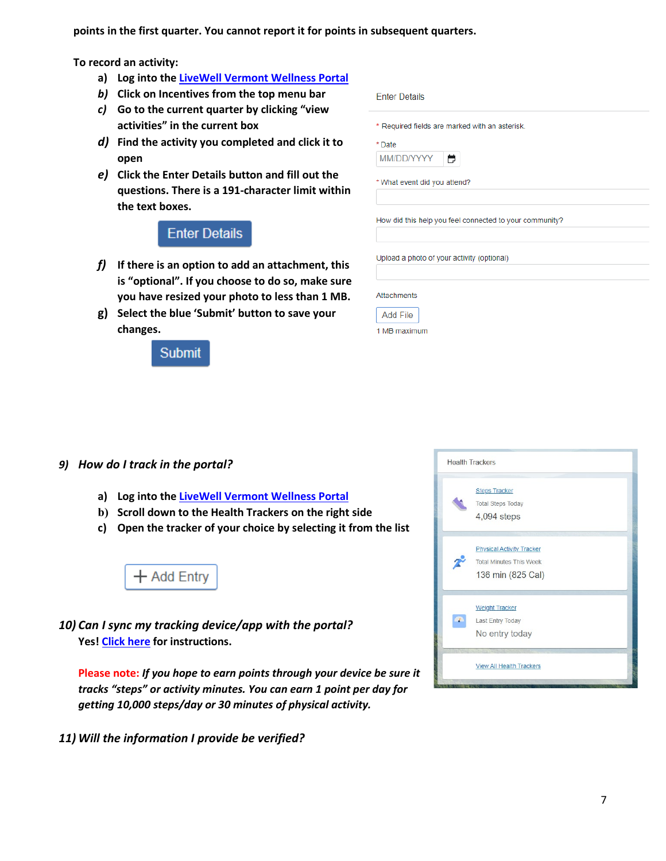**points in the first quarter. You cannot report it for points in subsequent quarters.** 

**To record an activity:**

- **a) Log into the [LiveWell Vermont Wellness Portal](http://www.bewellvermont.org/)**
- *b)* **Click on Incentives from the top menu bar**
- *c)* **Go to the current quarter by clicking "view activities" in the current box**
- *d)* **Find the activity you completed and click it to open**
- *e)* **Click the Enter Details button and fill out the questions. There is a 191-character limit within the text boxes.**

# **Enter Details**

- *f)* **If there is an option to add an attachment, this is "optional". If you choose to do so, make sure you have resized your photo to less than 1 MB.**
- **g) Select the blue 'Submit' button to save your changes.**

# **Submit**

|            | * Required fields are marked with an asterisk.          |
|------------|---------------------------------------------------------|
| * Date     |                                                         |
| MM/DD/YYYY | H                                                       |
|            | * What event did you attend?                            |
|            |                                                         |
|            |                                                         |
|            | How did this help you feel connected to your community? |
|            |                                                         |
|            | Upload a photo of your activity (optional)              |

1 MB maximum

<span id="page-6-0"></span>*9) How do I track in the portal?*

- **a) Log into the [LiveWell Vermont Wellness Portal](http://www.bewellvermont.org/)**
- **b) Scroll down to the Health Trackers on the right side**
- **c) Open the tracker of your choice by selecting it from the list**



<span id="page-6-1"></span>*10) Can I sync my tracking device/app with the portal?* **Yes[! Click here](https://d273uj0qfv334k.cloudfront.net/bcbsvt/livewellvermont/statics/pages/healthyPathPagelet/pdf%20for%20connectivity%20widget.pdf) for instructions.**

**Please note:** *If you hope to earn points through your device be sure it tracks "steps" or activity minutes. You can earn 1 point per day for getting 10,000 steps/day or 30 minutes of physical activity.* 

<span id="page-6-2"></span>*11) Will the information I provide be verified?* 

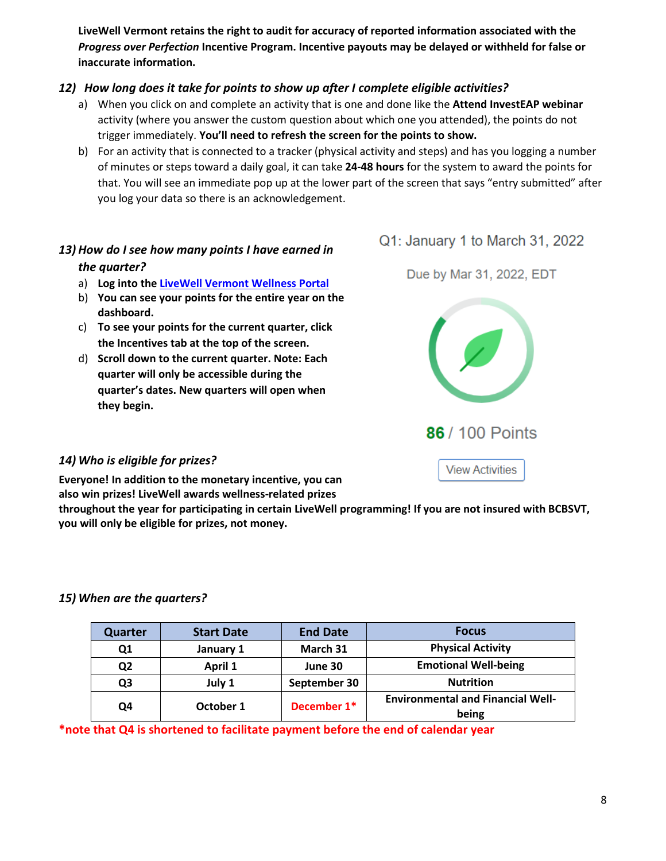**LiveWell Vermont retains the right to audit for accuracy of reported information associated with the**  *Progress over Perfection* **Incentive Program. Incentive payouts may be delayed or withheld for false or inaccurate information.** 

## *12) How long does it take for points to show up after I complete eligible activities?*

- <span id="page-7-0"></span>a) When you click on and complete an activity that is one and done like the **Attend InvestEAP webinar**  activity (where you answer the custom question about which one you attended), the points do not trigger immediately. **You'll need to refresh the screen for the points to show.**
- b) For an activity that is connected to a tracker (physical activity and steps) and has you logging a number of minutes or steps toward a daily goal, it can take **24-48 hours** for the system to award the points for that. You will see an immediate pop up at the lower part of the screen that says "entry submitted" after you log your data so there is an acknowledgement.

## <span id="page-7-1"></span>*13) How do I see how many points I have earned in the quarter?*

- a) **Log into the [LiveWell Vermont Wellness Portal](http://www.bewellvermont.org/)**
- b) **You can see your points for the entire year on the dashboard.**
- c) **To see your points for the current quarter, click the Incentives tab at the top of the screen.**
- d) **Scroll down to the current quarter. Note: Each quarter will only be accessible during the quarter's dates. New quarters will open when they begin.**



Due by Mar 31, 2022, EDT



**View Activities** 

### <span id="page-7-2"></span>*14) Who is eligible for prizes?*

**Everyone! In addition to the monetary incentive, you can also win prizes! LiveWell awards wellness-related prizes** 

**throughout the year for participating in certain LiveWell programming! If you are not insured with BCBSVT, you will only be eligible for prizes, not money.**

## <span id="page-7-3"></span>*15) When are the quarters?*

| <b>Quarter</b> | <b>Start Date</b> | <b>End Date</b> | <b>Focus</b>                                      |  |
|----------------|-------------------|-----------------|---------------------------------------------------|--|
| Q1             | January 1         | March 31        | <b>Physical Activity</b>                          |  |
| Q2             | April 1           | June 30         | <b>Emotional Well-being</b>                       |  |
| Q3             | July 1            | September 30    | <b>Nutrition</b>                                  |  |
| Q4             | October 1         | December 1*     | <b>Environmental and Financial Well-</b><br>being |  |

**\*note that Q4 is shortened to facilitate payment before the end of calendar year**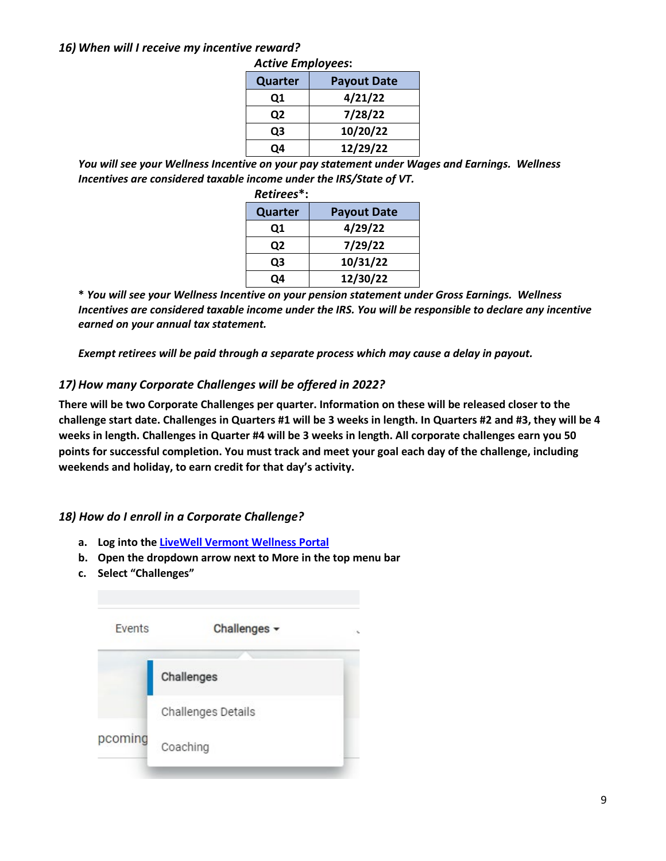#### <span id="page-8-0"></span>*16) When will I receive my incentive reward?*

|  |  | Active Employees: |
|--|--|-------------------|
|--|--|-------------------|

| Quarter | <b>Payout Date</b> |
|---------|--------------------|
| Q1      | 4/21/22            |
| Q2      | 7/28/22            |
| Q3      | 10/20/22           |
| O4      | 12/29/22           |

*You will see your Wellness Incentive on your pay statement under Wages and Earnings. Wellness Incentives are considered taxable income under the IRS/State of VT.* 

| Retirees*: |                    |  |
|------------|--------------------|--|
| Quarter    | <b>Payout Date</b> |  |
| Q1         | 4/29/22            |  |
| Q2         | 7/29/22            |  |
| Q3         | 10/31/22           |  |
| O4         | 12/30/22           |  |

**\*** *You will see your Wellness Incentive on your pension statement under Gross Earnings. Wellness Incentives are considered taxable income under the IRS. You will be responsible to declare any incentive earned on your annual tax statement.* 

*Exempt retirees will be paid through a separate process which may cause a delay in payout.* 

### <span id="page-8-1"></span>*17) How many Corporate Challenges will be offered in 2022?*

**There will be two Corporate Challenges per quarter. Information on these will be released closer to the challenge start date. Challenges in Quarters #1 will be 3 weeks in length. In Quarters #2 and #3, they will be 4 weeks in length. Challenges in Quarter #4 will be 3 weeks in length. All corporate challenges earn you 50 points for successful completion. You must track and meet your goal each day of the challenge, including weekends and holiday, to earn credit for that day's activity.** 

### <span id="page-8-2"></span>*18) How do I enroll in a Corporate Challenge?*

- **a. Log into the [LiveWell Vermont Wellness Portal](http://www.bewellvermont.org/)**
- **b. Open the dropdown arrow next to More in the top menu bar**
- **c. Select "Challenges"**

| Events  | Challenges -       |  |
|---------|--------------------|--|
|         | Challenges         |  |
|         | Challenges Details |  |
| pcoming | Coaching           |  |